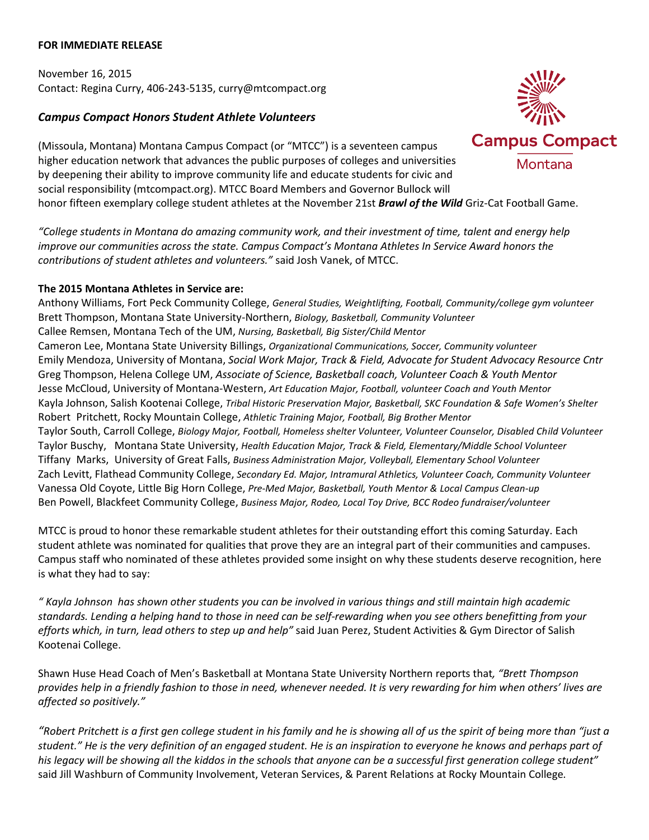## **FOR IMMEDIATE RELEASE**

November 16, 2015 Contact: Regina Curry, 406-243-5135, curry@mtcompact.org

## *Campus Compact Honors Student Athlete Volunteers*

(Missoula, Montana) Montana Campus Compact (or "MTCC") is a seventeen campus higher education network that advances the public purposes of colleges and universities by deepening their ability to improve community life and educate students for civic and social responsibility (mtcompact.org). MTCC Board Members and Governor Bullock will honor fifteen exemplary college student athletes at the November 21st *Brawl of the Wild* Griz-Cat Football Game.

*"College students in Montana do amazing community work, and their investment of time, talent and energy help improve our communities across the state. Campus Compact's Montana Athletes In Service Award honors the contributions of student athletes and volunteers."* said Josh Vanek, of MTCC.

## **The 2015 Montana Athletes in Service are:**

Anthony Williams, Fort Peck Community College, *General Studies, Weightlifting, Football, Community/college gym volunteer* Brett Thompson, Montana State University-Northern, *Biology, Basketball, Community Volunteer* Callee Remsen, Montana Tech of the UM, *Nursing, Basketball, Big Sister/Child Mentor* Cameron Lee, Montana State University Billings, *Organizational Communications, Soccer, Community volunteer* Emily Mendoza, University of Montana, *Social Work Major, Track & Field, Advocate for Student Advocacy Resource Cntr* Greg Thompson, Helena College UM, *Associate of Science, Basketball coach, Volunteer Coach & Youth Mentor* Jesse McCloud, University of Montana-Western, *Art Education Major, Football, volunteer Coach and Youth Mentor* Kayla Johnson, Salish Kootenai College, *Tribal Historic Preservation Major, Basketball, SKC Foundation & Safe Women's Shelter* Robert Pritchett, Rocky Mountain College, *Athletic Training Major, Football, Big Brother Mentor* Taylor South, Carroll College, *Biology Major, Football, Homeless shelter Volunteer, Volunteer Counselor, Disabled Child Volunteer* Taylor Buschy, Montana State University, *Health Education Major, Track & Field, Elementary/Middle School Volunteer* Tiffany Marks, University of Great Falls, *Business Administration Major, Volleyball, Elementary School Volunteer* Zach Levitt, Flathead Community College, *Secondary Ed. Major, Intramural Athletics, Volunteer Coach, Community Volunteer* Vanessa Old Coyote, Little Big Horn College, *Pre-Med Major, Basketball, Youth Mentor & Local Campus Clean-up* Ben Powell, Blackfeet Community College, *Business Major, Rodeo, Local Toy Drive, BCC Rodeo fundraiser/volunteer*

MTCC is proud to honor these remarkable student athletes for their outstanding effort this coming Saturday. Each student athlete was nominated for qualities that prove they are an integral part of their communities and campuses. Campus staff who nominated of these athletes provided some insight on why these students deserve recognition, here is what they had to say:

*" Kayla Johnson has shown other students you can be involved in various things and still maintain high academic standards. Lending a helping hand to those in need can be self-rewarding when you see others benefitting from your efforts which, in turn, lead others to step up and help"* said Juan Perez, Student Activities & Gym Director of Salish Kootenai College.

Shawn Huse Head Coach of Men's Basketball at Montana State University Northern reports that*, "Brett Thompson provides help in a friendly fashion to those in need, whenever needed. It is very rewarding for him when others' lives are affected so positively."* 

*"Robert Pritchett is a first gen college student in his family and he is showing all of us the spirit of being more than "just a student." He is the very definition of an engaged student. He is an inspiration to everyone he knows and perhaps part of his legacy will be showing all the kiddos in the schools that anyone can be a successful first generation college student"* said Jill Washburn of Community Involvement, Veteran Services, & Parent Relations at Rocky Mountain College*.*